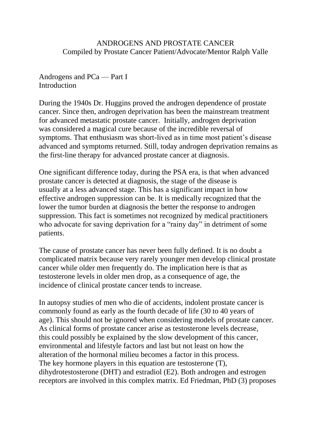ANDROGENS AND PROSTATE CANCER Compiled by Prostate Cancer Patient/Advocate/Mentor Ralph Valle

Androgens and PCa — Part I **Introduction** 

During the 1940s Dr. Huggins proved the androgen dependence of prostate cancer. Since then, androgen deprivation has been the mainstream treatment for advanced metastatic prostate cancer. Initially, androgen deprivation was considered a magical cure because of the incredible reversal of symptoms. That enthusiasm was short-lived as in time most patient's disease advanced and symptoms returned. Still, today androgen deprivation remains as the first-line therapy for advanced prostate cancer at diagnosis.

One significant difference today, during the PSA era, is that when advanced prostate cancer is detected at diagnosis, the stage of the disease is usually at a less advanced stage. This has a significant impact in how effective androgen suppression can be. It is medically recognized that the lower the tumor burden at diagnosis the better the response to androgen suppression. This fact is sometimes not recognized by medical practitioners who advocate for saving deprivation for a "rainy day" in detriment of some patients.

The cause of prostate cancer has never been fully defined. It is no doubt a complicated matrix because very rarely younger men develop clinical prostate cancer while older men frequently do. The implication here is that as testosterone levels in older men drop, as a consequence of age, the incidence of clinical prostate cancer tends to increase.

In autopsy studies of men who die of accidents, indolent prostate cancer is commonly found as early as the fourth decade of life (30 to 40 years of age). This should not be ignored when considering models of prostate cancer. As clinical forms of prostate cancer arise as testosterone levels decrease, this could possibly be explained by the slow development of this cancer, environmental and lifestyle factors and last but not least on how the alteration of the hormonal milieu becomes a factor in this process. The key hormone players in this equation are testosterone (T), dihydrotestosterone (DHT) and estradiol (E2). Both androgen and estrogen receptors are involved in this complex matrix. Ed Friedman, PhD (3) proposes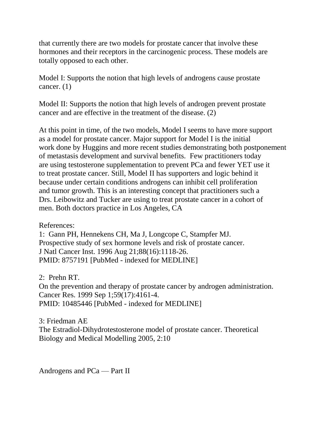that currently there are two models for prostate cancer that involve these hormones and their receptors in the carcinogenic process. These models are totally opposed to each other.

Model I: Supports the notion that high levels of androgens cause prostate cancer. (1)

Model II: Supports the notion that high levels of androgen prevent prostate cancer and are effective in the treatment of the disease. (2)

At this point in time, of the two models, Model I seems to have more support as a model for prostate cancer. Major support for Model I is the initial work done by Huggins and more recent studies demonstrating both postponement of metastasis development and survival benefits. Few practitioners today are using testosterone supplementation to prevent PCa and fewer YET use it to treat prostate cancer. Still, Model II has supporters and logic behind it because under certain conditions androgens can inhibit cell proliferation and tumor growth. This is an interesting concept that practitioners such a Drs. Leibowitz and Tucker are using to treat prostate cancer in a cohort of men. Both doctors practice in Los Angeles, CA

References:

1: Gann PH, Hennekens CH, Ma J, Longcope C, Stampfer MJ. Prospective study of sex hormone levels and risk of prostate cancer. J Natl Cancer Inst. 1996 Aug 21;88(16):1118-26. PMID: 8757191 [PubMed - indexed for MEDLINE]

2: Prehn RT. On the prevention and therapy of prostate cancer by androgen administration. Cancer Res. 1999 Sep 1;59(17):4161-4. PMID: 10485446 [PubMed - indexed for MEDLINE]

3: Friedman AE The Estradiol-Dihydrotestosterone model of prostate cancer. Theoretical Biology and Medical Modelling 2005, 2:10

Androgens and PCa — Part II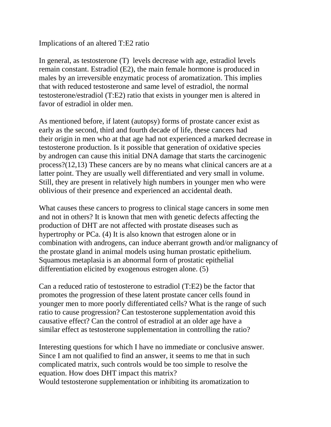## Implications of an altered T:E2 ratio

In general, as testosterone (T) levels decrease with age, estradiol levels remain constant. Estradiol (E2), the main female hormone is produced in males by an irreversible enzymatic process of aromatization. This implies that with reduced testosterone and same level of estradiol, the normal testosterone/estradiol (T:E2) ratio that exists in younger men is altered in favor of estradiol in older men.

As mentioned before, if latent (autopsy) forms of prostate cancer exist as early as the second, third and fourth decade of life, these cancers had their origin in men who at that age had not experienced a marked decrease in testosterone production. Is it possible that generation of oxidative species by androgen can cause this initial DNA damage that starts the carcinogenic process?(12,13) These cancers are by no means what clinical cancers are at a latter point. They are usually well differentiated and very small in volume. Still, they are present in relatively high numbers in younger men who were oblivious of their presence and experienced an accidental death.

What causes these cancers to progress to clinical stage cancers in some men and not in others? It is known that men with genetic defects affecting the production of DHT are not affected with prostate diseases such as hypertrophy or PCa. (4) It is also known that estrogen alone or in combination with androgens, can induce aberrant growth and/or malignancy of the prostate gland in animal models using human prostatic epithelium. Squamous metaplasia is an abnormal form of prostatic epithelial differentiation elicited by exogenous estrogen alone. (5)

Can a reduced ratio of testosterone to estradiol (T:E2) be the factor that promotes the progression of these latent prostate cancer cells found in younger men to more poorly differentiated cells? What is the range of such ratio to cause progression? Can testosterone supplementation avoid this causative effect? Can the control of estradiol at an older age have a similar effect as testosterone supplementation in controlling the ratio?

Interesting questions for which I have no immediate or conclusive answer. Since I am not qualified to find an answer, it seems to me that in such complicated matrix, such controls would be too simple to resolve the equation. How does DHT impact this matrix? Would testosterone supplementation or inhibiting its aromatization to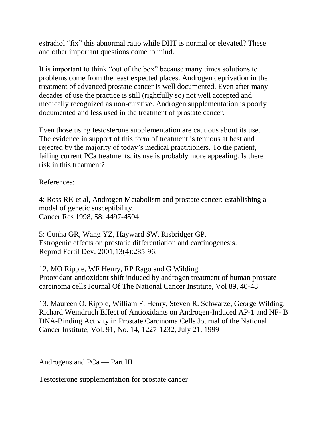estradiol "fix" this abnormal ratio while DHT is normal or elevated? These and other important questions come to mind.

It is important to think "out of the box" because many times solutions to problems come from the least expected places. Androgen deprivation in the treatment of advanced prostate cancer is well documented. Even after many decades of use the practice is still (rightfully so) not well accepted and medically recognized as non-curative. Androgen supplementation is poorly documented and less used in the treatment of prostate cancer.

Even those using testosterone supplementation are cautious about its use. The evidence in support of this form of treatment is tenuous at best and rejected by the majority of today's medical practitioners. To the patient, failing current PCa treatments, its use is probably more appealing. Is there risk in this treatment?

References:

4: Ross RK et al, Androgen Metabolism and prostate cancer: establishing a model of genetic susceptibility. Cancer Res 1998, 58: 4497-4504

5: Cunha GR, Wang YZ, Hayward SW, Risbridger GP. Estrogenic effects on prostatic differentiation and carcinogenesis. Reprod Fertil Dev. 2001;13(4):285-96.

12. MO Ripple, WF Henry, RP Rago and G Wilding Prooxidant-antioxidant shift induced by androgen treatment of human prostate carcinoma cells Journal Of The National Cancer Institute, Vol 89, 40-48

13. Maureen O. Ripple, William F. Henry, Steven R. Schwarze, George Wilding, Richard Weindruch Effect of Antioxidants on Androgen-Induced AP-1 and NF- B DNA-Binding Activity in Prostate Carcinoma Cells Journal of the National Cancer Institute, Vol. 91, No. 14, 1227-1232, July 21, 1999

Androgens and PCa — Part III

Testosterone supplementation for prostate cancer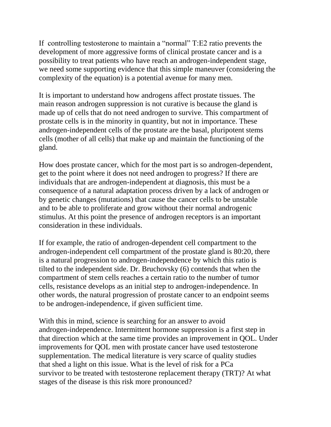If controlling testosterone to maintain a "normal" T:E2 ratio prevents the development of more aggressive forms of clinical prostate cancer and is a possibility to treat patients who have reach an androgen-independent stage, we need some supporting evidence that this simple maneuver (considering the complexity of the equation) is a potential avenue for many men.

It is important to understand how androgens affect prostate tissues. The main reason androgen suppression is not curative is because the gland is made up of cells that do not need androgen to survive. This compartment of prostate cells is in the minority in quantity, but not in importance. These androgen-independent cells of the prostate are the basal, pluripotent stems cells (mother of all cells) that make up and maintain the functioning of the gland.

How does prostate cancer, which for the most part is so androgen-dependent, get to the point where it does not need androgen to progress? If there are individuals that are androgen-independent at diagnosis, this must be a consequence of a natural adaptation process driven by a lack of androgen or by genetic changes (mutations) that cause the cancer cells to be unstable and to be able to proliferate and grow without their normal androgenic stimulus. At this point the presence of androgen receptors is an important consideration in these individuals.

If for example, the ratio of androgen-dependent cell compartment to the androgen-independent cell compartment of the prostate gland is 80:20, there is a natural progression to androgen-independence by which this ratio is tilted to the independent side. Dr. Bruchovsky (6) contends that when the compartment of stem cells reaches a certain ratio to the number of tumor cells, resistance develops as an initial step to androgen-independence. In other words, the natural progression of prostate cancer to an endpoint seems to be androgen-independence, if given sufficient time.

With this in mind, science is searching for an answer to avoid androgen-independence. Intermittent hormone suppression is a first step in that direction which at the same time provides an improvement in QOL. Under improvements for QOL men with prostate cancer have used testosterone supplementation. The medical literature is very scarce of quality studies that shed a light on this issue. What is the level of risk for a PCa survivor to be treated with testosterone replacement therapy (TRT)? At what stages of the disease is this risk more pronounced?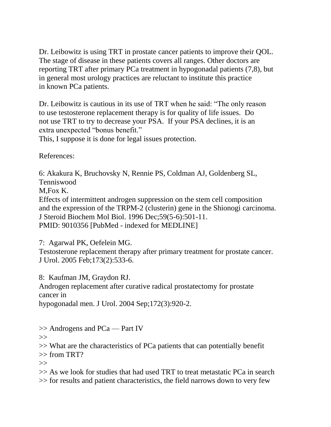Dr. Leibowitz is using TRT in prostate cancer patients to improve their QOL. The stage of disease in these patients covers all ranges. Other doctors are reporting TRT after primary PCa treatment in hypogonadal patients (7,8), but in general most urology practices are reluctant to institute this practice in known PCa patients.

Dr. Leibowitz is cautious in its use of TRT when he said: "The only reason to use testosterone replacement therapy is for quality of life issues. Do not use TRT to try to decrease your PSA. If your PSA declines, it is an extra unexpected "bonus benefit."

This, I suppose it is done for legal issues protection.

References:

6: Akakura K, Bruchovsky N, Rennie PS, Coldman AJ, Goldenberg SL, Tenniswood

M,Fox K.

Effects of intermittent androgen suppression on the stem cell composition and the expression of the TRPM-2 (clusterin) gene in the Shionogi carcinoma. J Steroid Biochem Mol Biol. 1996 Dec;59(5-6):501-11. PMID: 9010356 [PubMed - indexed for MEDLINE]

7: Agarwal PK, Oefelein MG.

Testosterone replacement therapy after primary treatment for prostate cancer. J Urol. 2005 Feb;173(2):533-6.

8: Kaufman JM, Graydon RJ.

Androgen replacement after curative radical prostatectomy for prostate cancer in

hypogonadal men. J Urol. 2004 Sep;172(3):920-2.

>> Androgens and PCa — Part IV

 $\gg$ 

>> What are the characteristics of PCa patients that can potentially benefit  $\gg$  from TRT?

 $\gt$ 

>> As we look for studies that had used TRT to treat metastatic PCa in search >> for results and patient characteristics, the field narrows down to very few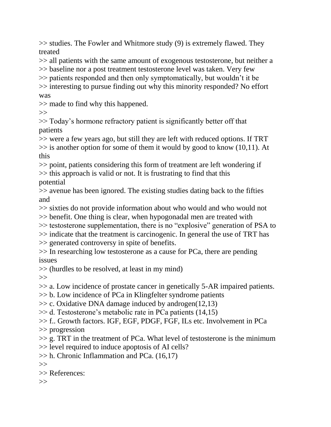>> studies. The Fowler and Whitmore study (9) is extremely flawed. They treated

>> all patients with the same amount of exogenous testosterone, but neither a

>> baseline nor a post treatment testosterone level was taken. Very few >> patients responded and then only symptomatically, but wouldn't it be

>> interesting to pursue finding out why this minority responded? No effort was

>> made to find why this happened.

 $>>$ 

>> Today's hormone refractory patient is significantly better off that patients

>> were a few years ago, but still they are left with reduced options. If TRT  $\gg$  is another option for some of them it would by good to know (10,11). At this

>> point, patients considering this form of treatment are left wondering if >> this approach is valid or not. It is frustrating to find that this potential

>> avenue has been ignored. The existing studies dating back to the fifties and

>> sixties do not provide information about who would and who would not

>> benefit. One thing is clear, when hypogonadal men are treated with

>> testosterone supplementation, there is no "explosive" generation of PSA to

>> indicate that the treatment is carcinogenic. In general the use of TRT has >> generated controversy in spite of benefits.

>> In researching low testosterone as a cause for PCa, there are pending issues

>> (hurdles to be resolved, at least in my mind)

 $\gg$ 

>> a. Low incidence of prostate cancer in genetically 5-AR impaired patients.

>> b. Low incidence of PCa in Klingfelter syndrome patients

 $\gg$  c. Oxidative DNA damage induced by androgen(12,13)

>> d. Testosterone's metabolic rate in PCa patients (14,15)

>> f.. Growth factors. IGF, EGF, PDGF, FGF, ILs etc. Involvement in PCa

>> progression

 $\gg$  g. TRT in the treatment of PCa. What level of testosterone is the minimum >> level required to induce apoptosis of AI cells?

 $\gg$  h. Chronic Inflammation and PCa. (16,17)

 $\gg$ 

>> References:

 $\gg$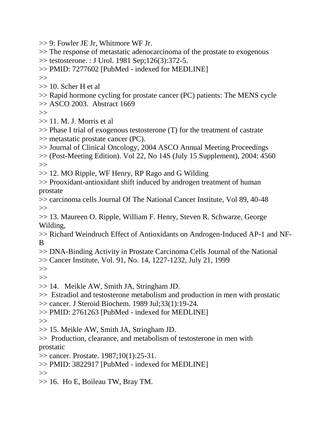- >> 9: Fowler JE Jr, Whitmore WF Jr.
- >> The response of metastatic adenocarcinoma of the prostate to exogenous
- >> testosterone. : J Urol. 1981 Sep;126(3):372-5.
- >> PMID: 7277602 [PubMed indexed for MEDLINE]
- $\gg$
- >> 10. Scher H et al
- >> Rapid hormone cycling for prostate cancer (PC) patients: The MENS cycle
- $\gg$  ASCO 2003. Abstract 1669

 $\gg$ 

- $\gg$  11. M. J. Morris et al
- >> Phase I trial of exogenous testosterone (T) for the treatment of castrate >> metastatic prostate cancer (PC).
- >> Journal of Clinical Oncology, 2004 ASCO Annual Meeting Proceedings
- >> (Post-Meeting Edition). Vol 22, No 14S (July 15 Supplement), 2004: 4560  $\gg$
- >> 12. MO Ripple, WF Henry, RP Rago and G Wilding
- >> Prooxidant-antioxidant shift induced by androgen treatment of human prostate
- >> carcinoma cells Journal Of The National Cancer Institute, Vol 89, 40-48  $\gg$
- >> 13. Maureen O. Ripple, William F. Henry, Steven R. Schwarze, George Wilding,
- >> Richard Weindruch Effect of Antioxidants on Androgen-Induced AP-1 and NF-B
- >> DNA-Binding Activity in Prostate Carcinoma Cells Journal of the National >> Cancer Institute, Vol. 91, No. 14, 1227-1232, July 21, 1999

 $>>$ 

- $>>$
- >> 14. Meikle AW, Smith JA, Stringham JD.
- >> Estradiol and testosterone metabolism and production in men with prostatic >> cancer. J Steroid Biochem. 1989 Jul;33(1):19-24.
- >> PMID: 2761263 [PubMed indexed for MEDLINE]

 $\gg$ 

- >> 15. Meikle AW, Smith JA, Stringham JD.
- >> Production, clearance, and metabolism of testosterone in men with prostatic
- >> cancer. Prostate. 1987;10(1):25-31.
- >> PMID: 3822917 [PubMed indexed for MEDLINE]

 $\gg$ 

>> 16. Ho E, Boileau TW, Bray TM.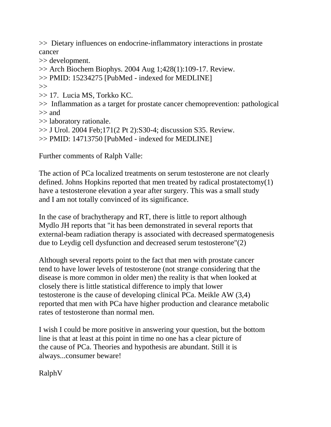>> Dietary influences on endocrine-inflammatory interactions in prostate cancer

>> development.

 $\gg$  Arch Biochem Biophys. 2004 Aug 1;428(1):109-17. Review.

>> PMID: 15234275 [PubMed - indexed for MEDLINE]

 $\gg$ 

>> 17. Lucia MS, Torkko KC.

>> Inflammation as a target for prostate cancer chemoprevention: pathological >> and

>> laboratory rationale.

>> J Urol. 2004 Feb;171(2 Pt 2):S30-4; discussion S35. Review.

>> PMID: 14713750 [PubMed - indexed for MEDLINE]

Further comments of Ralph Valle:

The action of PCa localized treatments on serum testosterone are not clearly defined. Johns Hopkins reported that men treated by radical prostatectomy(1) have a testosterone elevation a year after surgery. This was a small study and I am not totally convinced of its significance.

In the case of brachytherapy and RT, there is little to report although Mydlo JH reports that "it has been demonstrated in several reports that external-beam radiation therapy is associated with decreased spermatogenesis due to Leydig cell dysfunction and decreased serum testosterone"(2)

Although several reports point to the fact that men with prostate cancer tend to have lower levels of testosterone (not strange considering that the disease is more common in older men) the reality is that when looked at closely there is little statistical difference to imply that lower testosterone is the cause of developing clinical PCa. Meikle AW (3,4) reported that men with PCa have higher production and clearance metabolic rates of testosterone than normal men.

I wish I could be more positive in answering your question, but the bottom line is that at least at this point in time no one has a clear picture of the cause of PCa. Theories and hypothesis are abundant. Still it is always...consumer beware!

RalphV